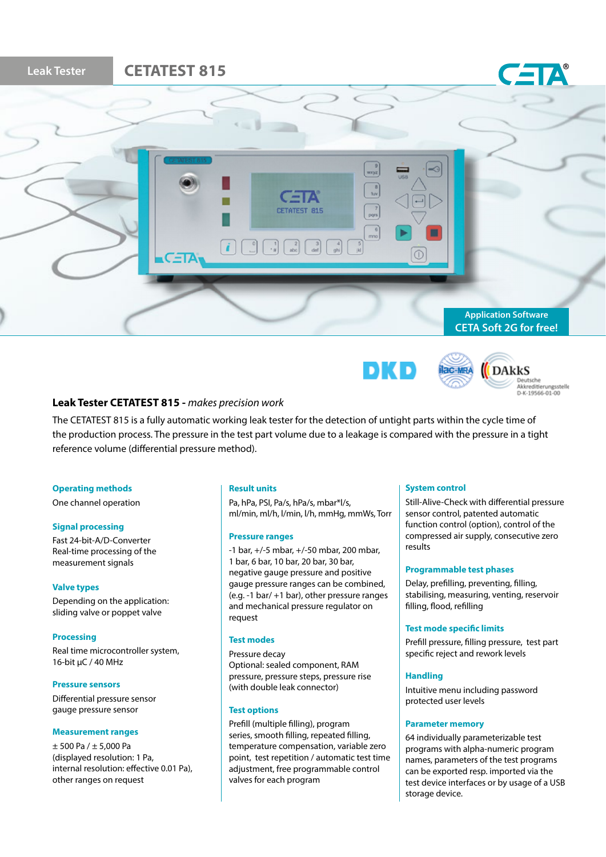



**Ilac-MRA** 

**DAkkS** Deutsche<br>Akkreditierungsstelle<br>D-K-19566-01-00

# **Leak Tester CETATEST 815 -** *makes precision work*

The CETATEST 815 is a fully automatic working leak tester for the detection of untight parts within the cycle time of the production process. The pressure in the test part volume due to a leakage is compared with the pressure in a tight reference volume (differential pressure method).

#### **Operating methods**

One channel operation

#### **Signal processing**

Fast 24-bit-A/D-Converter Real-time processing of the measurement signals

#### **Valve types**

Depending on the application: sliding valve or poppet valve

#### **Processing**

Real time microcontroller system, 16-bit µC / 40 MHz

#### **Pressure sensors**

Differential pressure sensor gauge pressure sensor

#### **Measurement ranges**

 $± 500$  Pa  $/± 5.000$  Pa (displayed resolution: 1 Pa, internal resolution: effective 0.01 Pa), other ranges on request

#### **Result units**

Pa, hPa, PSI, Pa/s, hPa/s, mbar\*l/s, ml/min, ml/h, l/min, l/h, mmHg, mmWs, Torr

#### **Pressure ranges**

-1 bar, +/-5 mbar, +/-50 mbar, 200 mbar, 1 bar, 6 bar, 10 bar, 20 bar, 30 bar, negative gauge pressure and positive gauge pressure ranges can be combined, (e.g. -1 bar/ +1 bar), other pressure ranges and mechanical pressure regulator on request

# **Test modes**

Pressure decay Optional: sealed component, RAM pressure, pressure steps, pressure rise (with double leak connector)

# **Test options**

Prefill (multiple filling), program series, smooth filling, repeated filling, temperature compensation, variable zero point, test repetition / automatic test time adjustment, free programmable control valves for each program

## **System control**

Still-Alive-Check with differential pressure sensor control, patented automatic function control (option), control of the compressed air supply, consecutive zero results

#### **Programmable test phases**

Delay, prefilling, preventing, filling, stabilising, measuring, venting, reservoir filling, flood, refilling

## **Test mode specific limits**

Prefill pressure, filling pressure, test part specific reject and rework levels

#### **Handling**

Intuitive menu including password protected user levels

#### **Parameter memory**

64 individually parameterizable test programs with alpha-numeric program names, parameters of the test programs can be exported resp. imported via the test device interfaces or by usage of a USB storage device.